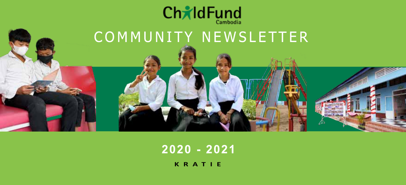

# COMMUNITY NEWSLETTER

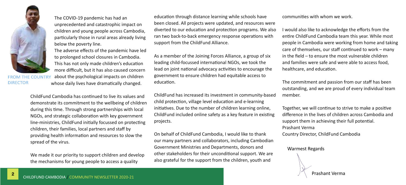

**FROM THE COUNTRY DIRECTOR** 

The COVID-19 pandemic has had an unprecedented and catastrophic impact on children and young people across Cambodia, particularly those in rural areas already living below the poverty line.

The adverse effects of the pandemic have led to prolonged school closures in Cambodia. This has not only made children's education more difficult, but it has also caused concern about the psychological impacts on children whose daily lives have dramatically changed.

ChildFund Cambodia has continued to live its values and demonstrate its commitment to the wellbeing of children during this time. Through strong partnerships with local NGOs, and strategic collaboration with key government line-ministries, ChildFund initially focussed on protecting children, their families, local partners and staff by providing health information and resources to slow the spread of the virus.

We made it our priority to support children and develop the mechanisms for young people to access a quality

education through distance learning while schools have been closed. All projects were updated, and resources were diverted to our education and protection programs. We also ran two back-to-back emergency response operations with support from the ChildFund Alliance.

As a member of the Joining Forces Alliance, a group of six leading child-focussed international NGOs, we took the lead on joint national advocacy activities to encourage the government to ensure children had equitable access to education.

ChildFund has increased its investment in community-based child protection, village level education and e-learning initiatives. Due to the number of children learning online, ChildFund included online safety as a key feature in existing projects.

On behalf of ChildFund Cambodia, I would like to thank our many partners and collaborators, including Cambodian Government Ministries and Departments, donors and other stakeholders for their unconditional support. We are also grateful for the support from the children, youth and

communities with whom we work.

I would also like to acknowledge the efforts from the entire ChildFund Cambodia team this year. While most people in Cambodia were working from home and taking care of themselves, our staff continued to work – many in the field – to ensure the most vulnerable children and families were safe and were able to access food, healthcare, and education.

The commitment and passion from our staff has been outstanding, and we are proud of every individual team member.

Together, we will continue to strive to make a positive difference in the lives of children across Cambodia and support them in achieving their full potential. Prashant Verma

Country Director, ChildFund Cambodia

Warmest Regards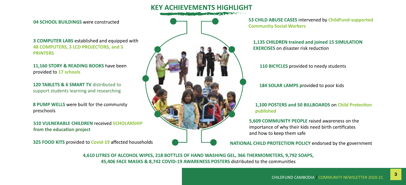

04 SCHOOL BUILDINGS were constructed

3 COMPUTER LABS established and equipped with 48 COMPUTERS, 3 LCD PROJECTORS, and 3 **PRINTERS** 

11,160 STORY & READING BOOKS have been provided to 17 schools

120 TARLETS & 6 SMART TV distributed to support students learning and researching

8 PUMP WELLS were built for the community preschools

510 VULNERABLE CHILDREN received SCHOLARSHIP from the education project

325 FOOD KITS provided to Covid-19 affected households



53 CHILD ABUSE CASES intervened by ChildFund-supported **Community Social Workers** 

1,135 CHILDREN trained and joined 15 SIMULATION **EXERCISES** on disaster risk reduction

110 BICYCLES provided to needy students

184 SOLAR LAMPS provided to poor kids

#### 1.100 POSTERS and 50 BILLBOARDS on Child Protection published

5.609 COMMUNITY PEOPLE raised awareness on the importance of why their kids need birth certificates and how to keep them safe

NATIONAL CHILD PROTECTION POLICY endorsed by the government

4,610 LITRES OF ALCOHOL WIPES, 218 BOTTLES OF HAND WASHING GEL, 366 THERMOMETERS, 9,792 SOAPS, 45,406 FACE MASKS & 8,742 COVID-19 AWARENESS POSTERS distributed to the communities

3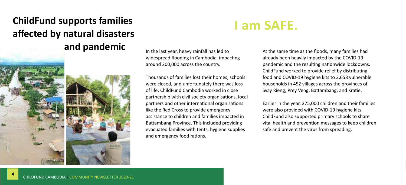#### **ChildFund supports families affected by natural disasters and pandemic**



In the last year, heavy rainfall has led to widespread flooding in Cambodia, impacting around 200,000 across the country.

Thousands of families lost their homes, schools were closed, and unfortunately there was loss of life. ChildFund Cambodia worked in close partnership with civil society organisations, local partners and other international organisations like the Red Cross to provide emergency assistance to children and families impacted in Battambang Province. This included providing evacuated families with tents, hygiene supplies and emergency food rations.

## **Lam SAFE.**

At the same time as the floods, many families had already been heavily impacted by the COVID-19 pandemic and the resulting nationwide lockdowns. ChildFund worked to provide relief by distributing food and COVID-19 hygiene kits to 2,658 vulnerable households in 452 villages across the provinces of Svay Rieng, Prey Veng, Battambang, and Kratie.

Earlier in the year, 275,000 children and their families were also provided with COVID-19 hygiene kits. ChildFund also supported primary schools to share vital health and prevention messages to keep children safe and prevent the virus from spreading.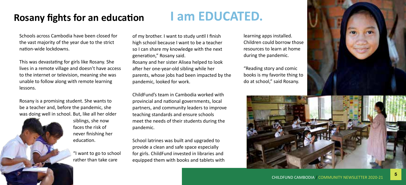

#### **Rosany fights for an education**

Schools across Cambodia have been closed for the vast majority of the year due to the strict nation-wide lockdowns.

This was devastating for girls like Rosany. She lives in a remote village and doesn't have access to the internet or television, meaning she was unable to follow along with remote learning lessons.

Rosany is a promising student. She wants to be a teacher and, before the pandemic, she was doing well in school. But, like all her older

> siblings, she now faces the risk of never finishing her education.

> > "I want to go to school rather than take care

### **I am EDUCATED.**

of my brother. I want to study until I finish high school because I want to be a teacher so I can share my knowledge with the next generation," Rosany said. Rosany and her sister Alisea helped to look after her one-year-old sibling while her parents, whose jobs had been impacted by the pandemic, looked for work.

ChildFund's team in Cambodia worked with provincial and national governments, local partners, and community leaders to improve teaching standards and ensure schools meet the needs of their students during the pandemic.

School latrines was built and upgraded to provide a clean and safe space especially for girls. ChildFund invested in libraries and equipped them with books and tablets with learning apps installed. Children could borrow those resources to learn at home during the pandemic.

"Reading story and comic books is my favorite thing to do at school," said Rosany.

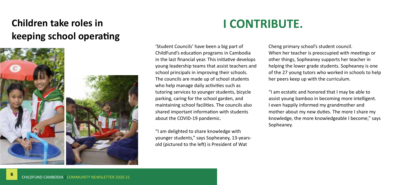#### **Children take roles in keeping school operating**



## **I CONTRIBUTE.**

'Student Councils' have been a big part of ChildFund's education programs in Cambodia in the last financial year. This initiative develops young leadership teams that assist teachers and school principals in improving their schools. The councils are made up of school students who help manage daily activities such as tutoring services to younger students, bicycle parking, caring for the school garden, and maintaining school facilities. The councils also shared important information with students about the COVID-19 pandemic.

"I am delighted to share knowledge with younger students," says Sopheaney, 13-yearsold (pictured to the left) is President of Wat

Cheng primary school's student council. When her teacher is preoccupied with meetings or other things, Sopheaney supports her teacher in helping the lower grade students. Sopheaney is one of the 27 young tutors who worked in schools to help her peers keep up with the curriculum.

"I am ecstatic and honored that I may be able to assist young bamboo in becoming more intelligent. I even happily informed my grandmother and mother about my new duties. The more I share my knowledge, the more knowledgeable I become," says Sopheaney.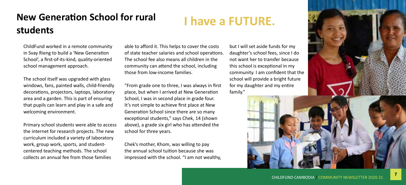#### **New Generation School for rural students**

#### ChildFund worked in a remote community in Svay Rieng to build a 'New Generation School', a first-of-its-kind, quality-oriented school management approach.

The school itself was upgraded with glass windows, fans, painted walls, child-friendly decorations, projectors, laptops, laboratory area and a garden. This is part of ensuring that pupils can learn and play in a safe and welcoming environment.

Primary school students were able to access the internet for research projects. The new curriculum included a variety of laboratory work, group work, sports, and studentcentered teaching methods. The school collects an annual fee from those families

able to afford it. This helps to cover the costs of state teacher salaries and school operations. The school fee also means all children in the community can attend the school, including those from low-income families.

"From grade one to three, I was always in first place, but when I arrived at New Generation School, I was in second place in grade four. It's not simple to achieve first place at New Generation School since there are so many exceptional students," says Chek, 14 (shown above), a grade six girl who has attended the school for three years.

Chek's mother, Khom, was willing to pay the annual school tuition because she was impressed with the school. "I am not wealthy, but I will set aside funds for my daughter's school fees, since I do not want her to transfer because this school is exceptional in my community. I am confident that the school will provide a bright future for my daughter and my entire family."



I have a FUTURE.